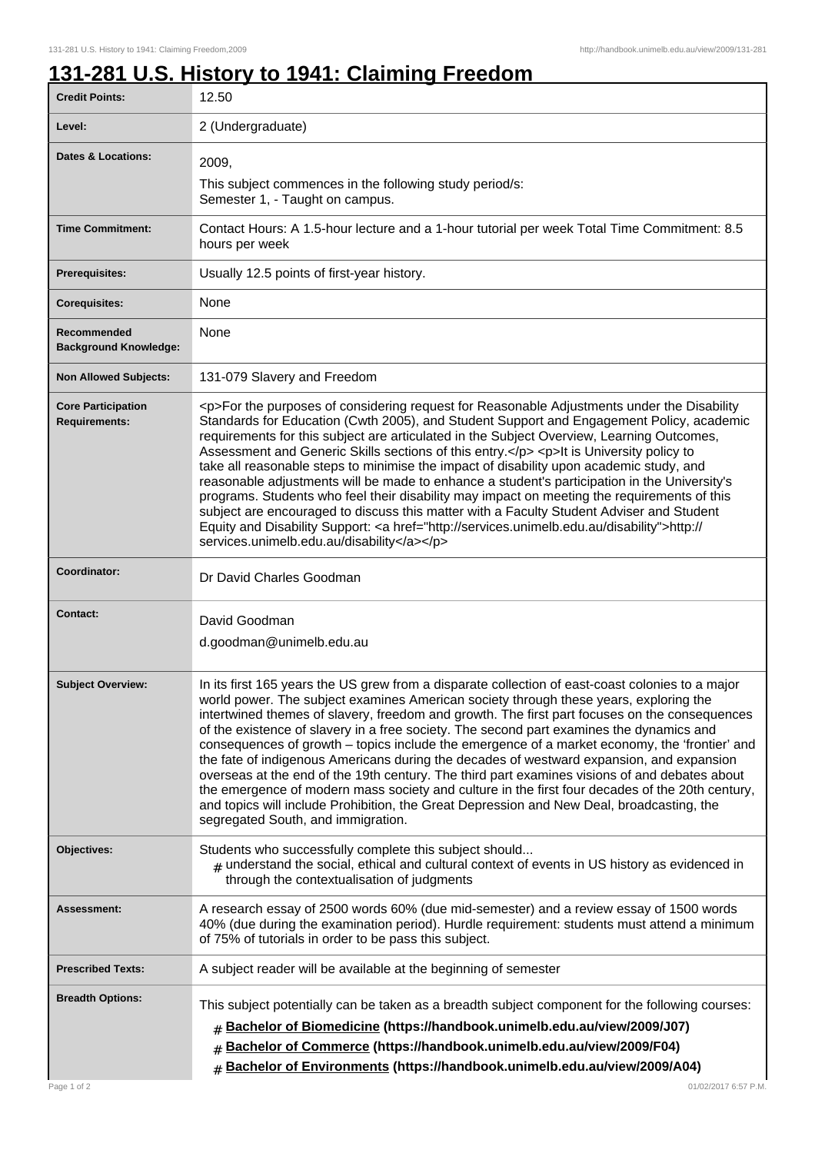## **131-281 U.S. History to 1941: Claiming Freedom**

| <b>Credit Points:</b>                             | 12.50                                                                                                                                                                                                                                                                                                                                                                                                                                                                                                                                                                                                                                                                                                                                                                                                                                                                                                                      |
|---------------------------------------------------|----------------------------------------------------------------------------------------------------------------------------------------------------------------------------------------------------------------------------------------------------------------------------------------------------------------------------------------------------------------------------------------------------------------------------------------------------------------------------------------------------------------------------------------------------------------------------------------------------------------------------------------------------------------------------------------------------------------------------------------------------------------------------------------------------------------------------------------------------------------------------------------------------------------------------|
| Level:                                            | 2 (Undergraduate)                                                                                                                                                                                                                                                                                                                                                                                                                                                                                                                                                                                                                                                                                                                                                                                                                                                                                                          |
| <b>Dates &amp; Locations:</b>                     | 2009,<br>This subject commences in the following study period/s:<br>Semester 1, - Taught on campus.                                                                                                                                                                                                                                                                                                                                                                                                                                                                                                                                                                                                                                                                                                                                                                                                                        |
| <b>Time Commitment:</b>                           | Contact Hours: A 1.5-hour lecture and a 1-hour tutorial per week Total Time Commitment: 8.5<br>hours per week                                                                                                                                                                                                                                                                                                                                                                                                                                                                                                                                                                                                                                                                                                                                                                                                              |
| Prerequisites:                                    | Usually 12.5 points of first-year history.                                                                                                                                                                                                                                                                                                                                                                                                                                                                                                                                                                                                                                                                                                                                                                                                                                                                                 |
| <b>Corequisites:</b>                              | None                                                                                                                                                                                                                                                                                                                                                                                                                                                                                                                                                                                                                                                                                                                                                                                                                                                                                                                       |
| Recommended<br><b>Background Knowledge:</b>       | None                                                                                                                                                                                                                                                                                                                                                                                                                                                                                                                                                                                                                                                                                                                                                                                                                                                                                                                       |
| <b>Non Allowed Subjects:</b>                      | 131-079 Slavery and Freedom                                                                                                                                                                                                                                                                                                                                                                                                                                                                                                                                                                                                                                                                                                                                                                                                                                                                                                |
| <b>Core Participation</b><br><b>Requirements:</b> | <p>For the purposes of considering request for Reasonable Adjustments under the Disability<br/>Standards for Education (Cwth 2005), and Student Support and Engagement Policy, academic<br/>requirements for this subject are articulated in the Subject Overview, Learning Outcomes,<br/>Assessment and Generic Skills sections of this entry.</p> <p>lt is University policy to<br/>take all reasonable steps to minimise the impact of disability upon academic study, and<br/>reasonable adjustments will be made to enhance a student's participation in the University's<br/>programs. Students who feel their disability may impact on meeting the requirements of this<br/>subject are encouraged to discuss this matter with a Faculty Student Adviser and Student<br/>Equity and Disability Support: <a href="http://services.unimelb.edu.au/disability">http://<br/>services.unimelb.edu.au/disability</a></p>  |
| Coordinator:                                      | Dr David Charles Goodman                                                                                                                                                                                                                                                                                                                                                                                                                                                                                                                                                                                                                                                                                                                                                                                                                                                                                                   |
| <b>Contact:</b>                                   | David Goodman<br>d.goodman@unimelb.edu.au                                                                                                                                                                                                                                                                                                                                                                                                                                                                                                                                                                                                                                                                                                                                                                                                                                                                                  |
| <b>Subject Overview:</b>                          | In its first 165 years the US grew from a disparate collection of east-coast colonies to a major<br>world power. The subject examines American society through these years, exploring the<br>intertwined themes of slavery, freedom and growth. The first part focuses on the consequences<br>of the existence of slavery in a free society. The second part examines the dynamics and<br>consequences of growth - topics include the emergence of a market economy, the 'frontier' and<br>the fate of indigenous Americans during the decades of westward expansion, and expansion<br>overseas at the end of the 19th century. The third part examines visions of and debates about<br>the emergence of modern mass society and culture in the first four decades of the 20th century,<br>and topics will include Prohibition, the Great Depression and New Deal, broadcasting, the<br>segregated South, and immigration. |
| Objectives:                                       | Students who successfully complete this subject should<br>$_{\text{\#}}$ understand the social, ethical and cultural context of events in US history as evidenced in<br>through the contextualisation of judgments                                                                                                                                                                                                                                                                                                                                                                                                                                                                                                                                                                                                                                                                                                         |
| <b>Assessment:</b>                                | A research essay of 2500 words 60% (due mid-semester) and a review essay of 1500 words<br>40% (due during the examination period). Hurdle requirement: students must attend a minimum<br>of 75% of tutorials in order to be pass this subject.                                                                                                                                                                                                                                                                                                                                                                                                                                                                                                                                                                                                                                                                             |
| <b>Prescribed Texts:</b>                          | A subject reader will be available at the beginning of semester                                                                                                                                                                                                                                                                                                                                                                                                                                                                                                                                                                                                                                                                                                                                                                                                                                                            |
| <b>Breadth Options:</b><br>Page 1 of 2            | This subject potentially can be taken as a breadth subject component for the following courses:<br>Bachelor of Biomedicine (https://handbook.unimelb.edu.au/view/2009/J07)<br>Bachelor of Commerce (https://handbook.unimelb.edu.au/view/2009/F04)<br>#<br>Bachelor of Environments (https://handbook.unimelb.edu.au/view/2009/A04)<br>#<br>01/02/2017 6:57 P.M.                                                                                                                                                                                                                                                                                                                                                                                                                                                                                                                                                           |